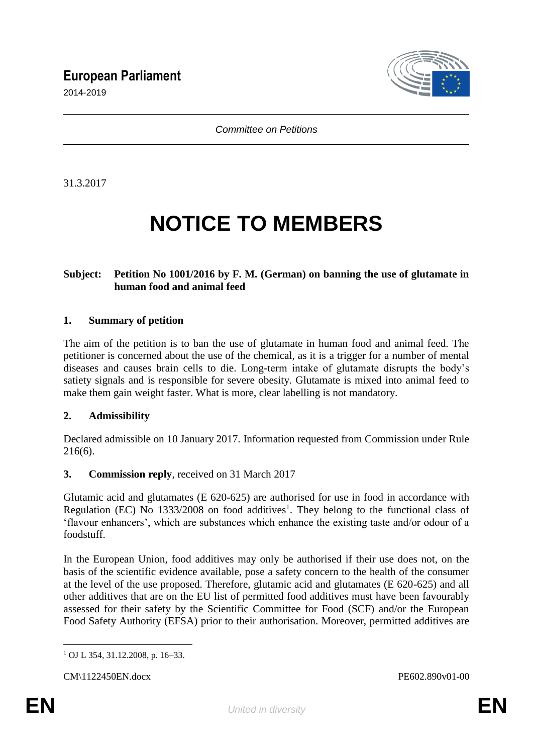## **European Parliament**

2014-2019



*Committee on Petitions*

31.3.2017

# **NOTICE TO MEMBERS**

#### **Subject: Petition No 1001/2016 by F. M. (German) on banning the use of glutamate in human food and animal feed**

#### **1. Summary of petition**

The aim of the petition is to ban the use of glutamate in human food and animal feed. The petitioner is concerned about the use of the chemical, as it is a trigger for a number of mental diseases and causes brain cells to die. Long-term intake of glutamate disrupts the body's satiety signals and is responsible for severe obesity. Glutamate is mixed into animal feed to make them gain weight faster. What is more, clear labelling is not mandatory.

#### **2. Admissibility**

Declared admissible on 10 January 2017. Information requested from Commission under Rule 216(6).

#### **3. Commission reply**, received on 31 March 2017

Glutamic acid and glutamates (E 620-625) are authorised for use in food in accordance with Regulation (EC) No  $1333/2008$  on food additives<sup>1</sup>. They belong to the functional class of 'flavour enhancers', which are substances which enhance the existing taste and/or odour of a foodstuff.

In the European Union, food additives may only be authorised if their use does not, on the basis of the scientific evidence available, pose a safety concern to the health of the consumer at the level of the use proposed. Therefore, glutamic acid and glutamates (E 620-625) and all other additives that are on the EU list of permitted food additives must have been favourably assessed for their safety by the Scientific Committee for Food (SCF) and/or the European Food Safety Authority (EFSA) prior to their authorisation. Moreover, permitted additives are

 $\overline{a}$ <sup>1</sup> OJ L 354, 31.12.2008, p. 16–33.